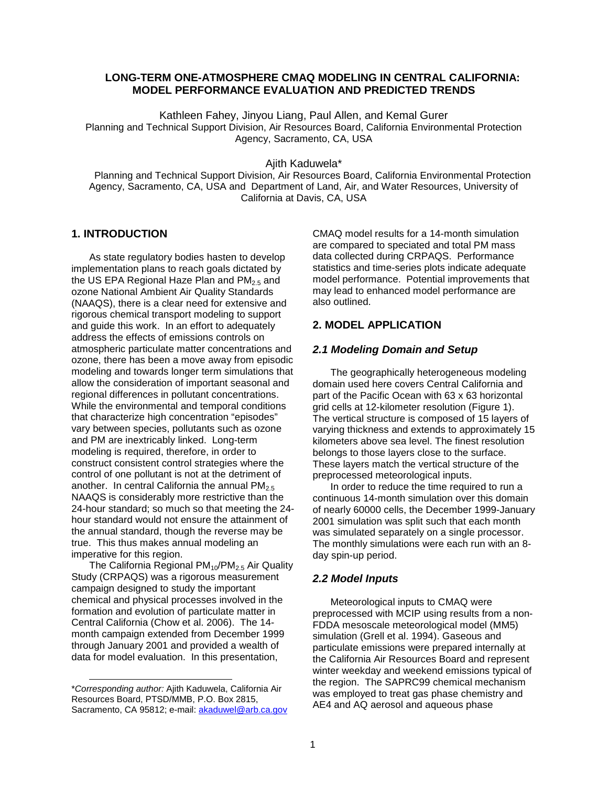# **LONG-TERM ONE-ATMOSPHERE CMAQ MODELING IN CENTRAL CALIFORNIA: MODEL PERFORMANCE EVALUATION AND PREDICTED TRENDS**

Kathleen Fahey, Jinyou Liang, Paul Allen, and Kemal Gurer Planning and Technical Support Division, Air Resources Board, California Environmental Protection Agency, Sacramento, CA, USA

Ajith Kaduwela\*

Planning and Technical Support Division, Air Resources Board, California Environmental Protection Agency, Sacramento, CA, USA and Department of Land, Air, and Water Resources, University of California at Davis, CA, USA

## **1. INTRODUCTION**

As state regulatory bodies hasten to develop implementation plans to reach goals dictated by the US EPA Regional Haze Plan and  $PM<sub>2.5</sub>$  and ozone National Ambient Air Quality Standards (NAAQS), there is a clear need for extensive and rigorous chemical transport modeling to support and guide this work. In an effort to adequately address the effects of emissions controls on atmospheric particulate matter concentrations and ozone, there has been a move away from episodic modeling and towards longer term simulations that allow the consideration of important seasonal and regional differences in pollutant concentrations. While the environmental and temporal conditions that characterize high concentration "episodes" vary between species, pollutants such as ozone and PM are inextricably linked. Long-term modeling is required, therefore, in order to construct consistent control strategies where the control of one pollutant is not at the detriment of another. In central California the annual  $PM<sub>2.5</sub>$ NAAQS is considerably more restrictive than the 24-hour standard; so much so that meeting the 24 hour standard would not ensure the attainment of the annual standard, though the reverse may be true. This thus makes annual modeling an imperative for this region.

The California Regional  $PM_{10}/PM_{2.5}$  Air Quality Study (CRPAQS) was a rigorous measurement campaign designed to study the important chemical and physical processes involved in the formation and evolution of particulate matter in Central California (Chow et al. 2006). The 14 month campaign extended from December 1999 through January 2001 and provided a wealth of data for model evaluation. In this presentation,

1

CMAQ model results for a 14-month simulation are compared to speciated and total PM mass data collected during CRPAQS. Performance statistics and time-series plots indicate adequate model performance. Potential improvements that may lead to enhanced model performance are also outlined.

# **2. MODEL APPLICATION**

### **2.1 Modeling Domain and Setup**

The geographically heterogeneous modeling domain used here covers Central California and part of the Pacific Ocean with 63 x 63 horizontal grid cells at 12-kilometer resolution (Figure 1). The vertical structure is composed of 15 layers of varying thickness and extends to approximately 15 kilometers above sea level. The finest resolution belongs to those layers close to the surface. These layers match the vertical structure of the preprocessed meteorological inputs.

In order to reduce the time required to run a continuous 14-month simulation over this domain of nearly 60000 cells, the December 1999-January 2001 simulation was split such that each month was simulated separately on a single processor. The monthly simulations were each run with an 8 day spin-up period.

#### **2.2 Model Inputs**

Meteorological inputs to CMAQ were preprocessed with MCIP using results from a non-FDDA mesoscale meteorological model (MM5) simulation (Grell et al. 1994). Gaseous and particulate emissions were prepared internally at the California Air Resources Board and represent winter weekday and weekend emissions typical of the region. The SAPRC99 chemical mechanism was employed to treat gas phase chemistry and AE4 and AQ aerosol and aqueous phase

<sup>\*</sup>Corresponding author: Ajith Kaduwela, California Air Resources Board, PTSD/MMB, P.O. Box 2815, Sacramento, CA 95812; e-mail: akaduwel@arb.ca.gov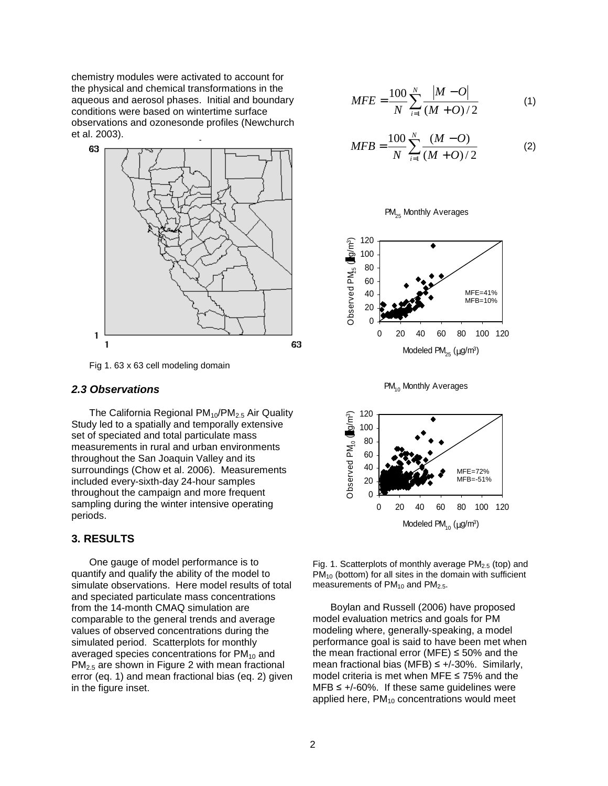chemistry modules were activated to account for the physical and chemical transformations in the aqueous and aerosol phases. Initial and boundary conditions were based on wintertime surface observations and ozonesonde profiles (Newchurch et al. 2003).



Fig 1. 63 x 63 cell modeling domain

#### **2.3 Observations**

The California Regional PM<sub>10</sub>/PM<sub>2.5</sub> Air Quality Study led to a spatially and temporally extensive set of speciated and total particulate mass measurements in rural and urban environments throughout the San Joaquin Valley and its surroundings (Chow et al. 2006). Measurements included every-sixth-day 24-hour samples throughout the campaign and more frequent sampling during the winter intensive operating periods.

## **3. RESULTS**

One gauge of model performance is to quantify and qualify the ability of the model to simulate observations. Here model results of total and speciated particulate mass concentrations from the 14-month CMAQ simulation are comparable to the general trends and average values of observed concentrations during the simulated period. Scatterplots for monthly averaged species concentrations for  $PM_{10}$  and PM<sub>2.5</sub> are shown in Figure 2 with mean fractional error (eq. 1) and mean fractional bias (eq. 2) given in the figure inset.

$$
MFE = \frac{100}{N} \sum_{i=1}^{N} \frac{|M - O|}{(M + O)/2}
$$
 (1)

$$
MFB = \frac{100}{N} \sum_{i=1}^{N} \frac{(M - O)}{(M + O)/2}
$$
 (2)









Fig. 1. Scatterplots of monthly average  $PM<sub>2.5</sub>$  (top) and  $PM_{10}$  (bottom) for all sites in the domain with sufficient measurements of  $PM<sub>10</sub>$  and  $PM<sub>2.5</sub>$ .

Boylan and Russell (2006) have proposed model evaluation metrics and goals for PM modeling where, generally-speaking, a model performance goal is said to have been met when the mean fractional error (MFE)  $\leq$  50% and the mean fractional bias (MFB)  $\leq$  +/-30%. Similarly, model criteria is met when MFE ≤ 75% and the  $MFB \leq +/-60\%$ . If these same guidelines were applied here,  $PM_{10}$  concentrations would meet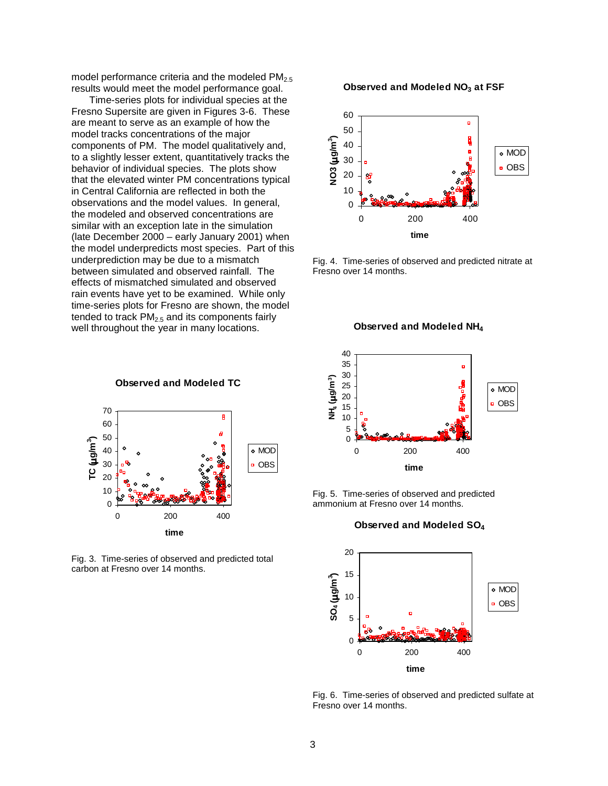model performance criteria and the modeled  $PM<sub>2.5</sub>$ results would meet the model performance goal.

Time-series plots for individual species at the Fresno Supersite are given in Figures 3-6. These are meant to serve as an example of how the model tracks concentrations of the major components of PM. The model qualitatively and, to a slightly lesser extent, quantitatively tracks the behavior of individual species. The plots show that the elevated winter PM concentrations typical in Central California are reflected in both the observations and the model values. In general, the modeled and observed concentrations are similar with an exception late in the simulation (late December 2000 – early January 2001) when the model underpredicts most species. Part of this underprediction may be due to a mismatch between simulated and observed rainfall. The effects of mismatched simulated and observed rain events have yet to be examined. While only time-series plots for Fresno are shown, the model tended to track  $PM<sub>2.5</sub>$  and its components fairly well throughout the year in many locations.



**Observed and Modeled TC**

Fig. 3. Time-series of observed and predicted total carbon at Fresno over 14 months.

#### **Observed and Modeled NO3 at FSF**



Fig. 4. Time-series of observed and predicted nitrate at Fresno over 14 months.

**Observed and Modeled NH<sup>4</sup>**



Fig. 5. Time-series of observed and predicted ammonium at Fresno over 14 months.

#### **Observed and Modeled SO<sup>4</sup>**



Fig. 6. Time-series of observed and predicted sulfate at Fresno over 14 months.